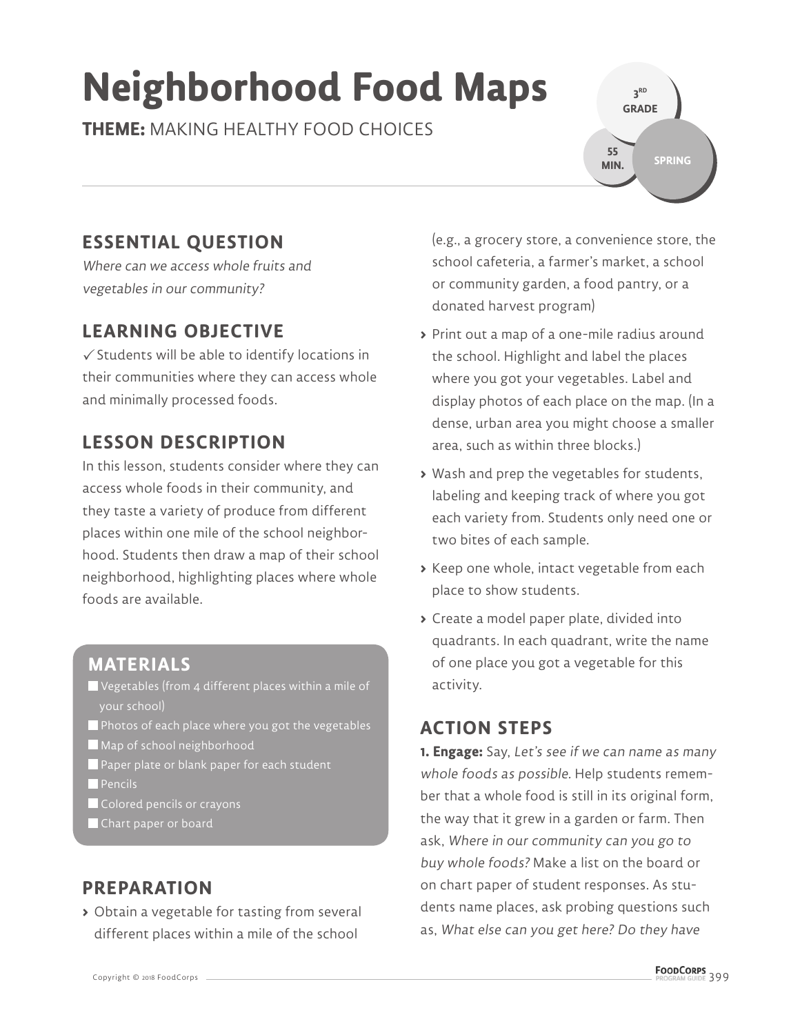# **Neighborhood Food Maps**

**THEME:** MAKING HEALTHY FOOD CHOICES

**3 RD GRADE SPRING 55 MIN.**

## **ESSENTIAL QUESTION**

Where can we access whole fruits and vegetables in our community?

### **LEARNING OBJECTIVE**

 $\checkmark$  Students will be able to identify locations in their communities where they can access whole and minimally processed foods.

## **LESSON DESCRIPTION**

In this lesson, students consider where they can access whole foods in their community, and they taste a variety of produce from different places within one mile of the school neighborhood. Students then draw a map of their school neighborhood, highlighting places where whole foods are available.

#### **MATERIALS**

- Vegetables (from 4 different places within a mile of your school)
- $\blacksquare$  Photos of each place where you got the vegetables
- Map of school neighborhood
- Paper plate or blank paper for each student
- **Pencils**
- **Colored pencils or crayons**
- Chart paper or board

## **PREPARATION**

**>** Obtain a vegetable for tasting from several different places within a mile of the school

(e.g., a grocery store, a convenience store, the school cafeteria, a farmer's market, a school or community garden, a food pantry, or a donated harvest program)

- **>** Print out a map of a one-mile radius around the school. Highlight and label the places where you got your vegetables. Label and display photos of each place on the map. (In a dense, urban area you might choose a smaller area, such as within three blocks.)
- **>** Wash and prep the vegetables for students, labeling and keeping track of where you got each variety from. Students only need one or two bites of each sample.
- **>** Keep one whole, intact vegetable from each place to show students.
- **>** Create a model paper plate, divided into quadrants. In each quadrant, write the name of one place you got a vegetable for this activity.

#### **ACTION STEPS**

**1. Engage:** Say, Let's see if we can name as many whole foods as possible. Help students remember that a whole food is still in its original form, the way that it grew in a garden or farm. Then ask, Where in our community can you go to buy whole foods? Make a list on the board or on chart paper of student responses. As students name places, ask probing questions such as, What else can you get here? Do they have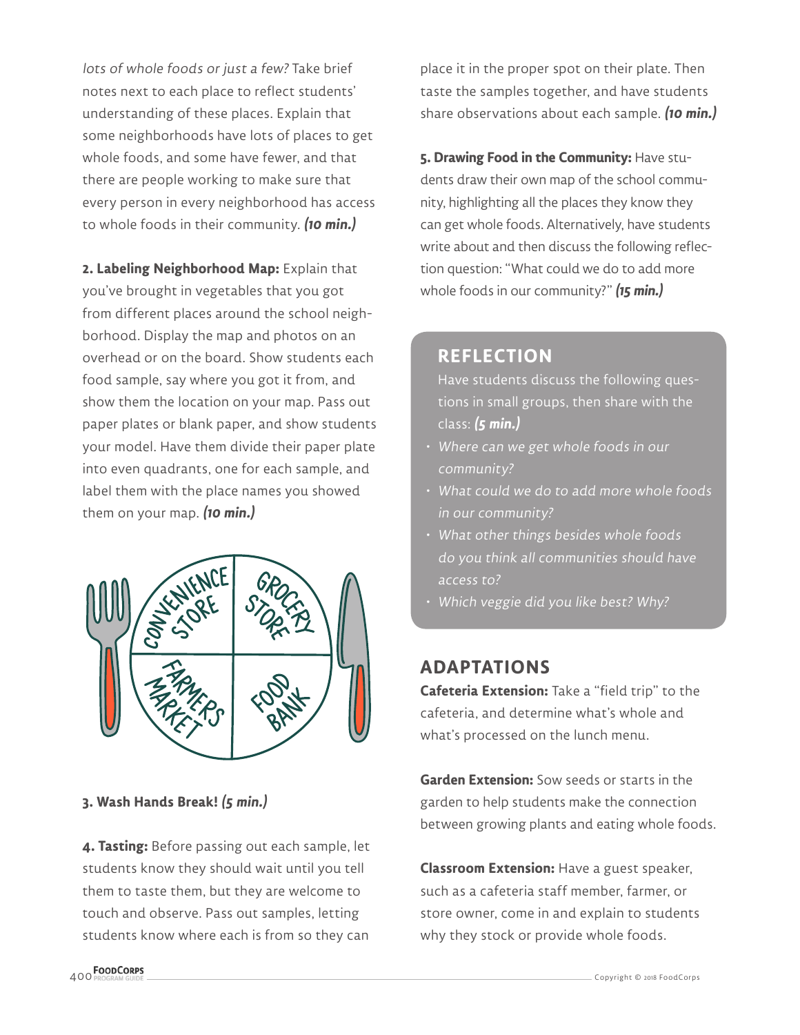lots of whole foods or just a few? Take brief notes next to each place to reflect students' understanding of these places. Explain that some neighborhoods have lots of places to get whole foods, and some have fewer, and that there are people working to make sure that every person in every neighborhood has access to whole foods in their community. **(10 min.)**

**2. Labeling Neighborhood Map:** Explain that you've brought in vegetables that you got from different places around the school neighborhood. Display the map and photos on an overhead or on the board. Show students each food sample, say where you got it from, and show them the location on your map. Pass out paper plates or blank paper, and show students your model. Have them divide their paper plate into even quadrants, one for each sample, and label them with the place names you showed them on your map. **(10 min.)**



#### **3. Wash Hands Break! (5 min.)**

**4. Tasting:** Before passing out each sample, let students know they should wait until you tell them to taste them, but they are welcome to touch and observe. Pass out samples, letting students know where each is from so they can place it in the proper spot on their plate. Then taste the samples together, and have students share observations about each sample. **(10 min.)**

**5. Drawing Food in the Community:** Have students draw their own map of the school community, highlighting all the places they know they can get whole foods. Alternatively, have students write about and then discuss the following reflection question: "What could we do to add more whole foods in our community?" **(15 min.)**

#### **REFLECTION**

Have students discuss the following questions in small groups, then share with the class: **(5 min.)**

- Where can we get whole foods in our community?
- What could we do to add more whole foods in our community?
- What other things besides whole foods do you think all communities should have access to?
- Which veggie did you like best? Why?

#### **ADAPTATIONS**

**Cafeteria Extension:** Take a "field trip" to the cafeteria, and determine what's whole and what's processed on the lunch menu.

**Garden Extension:** Sow seeds or starts in the garden to help students make the connection between growing plants and eating whole foods.

**Classroom Extension:** Have a guest speaker, such as a cafeteria staff member, farmer, or store owner, come in and explain to students why they stock or provide whole foods.